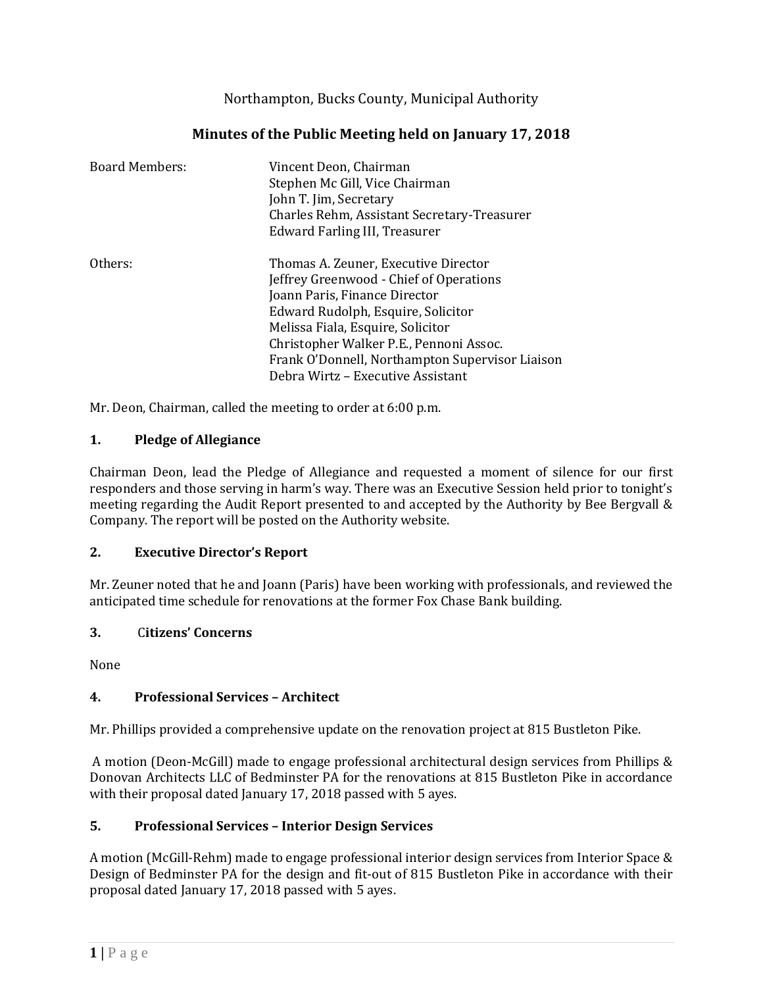Northampton, Bucks County, Municipal Authority

| Minutes of the Public Meeting held on January 17, 2018 |  |  |  |  |  |
|--------------------------------------------------------|--|--|--|--|--|
|--------------------------------------------------------|--|--|--|--|--|

| <b>Board Members:</b> | Vincent Deon, Chairman<br>Stephen Mc Gill, Vice Chairman<br>John T. Jim, Secretary<br>Charles Rehm, Assistant Secretary-Treasurer<br>Edward Farling III, Treasurer |  |  |
|-----------------------|--------------------------------------------------------------------------------------------------------------------------------------------------------------------|--|--|
| Others:               | Thomas A. Zeuner, Executive Director<br>Jeffrey Greenwood - Chief of Operations                                                                                    |  |  |
|                       | Joann Paris, Finance Director                                                                                                                                      |  |  |
|                       | Edward Rudolph, Esquire, Solicitor                                                                                                                                 |  |  |
|                       | Melissa Fiala, Esquire, Solicitor                                                                                                                                  |  |  |
|                       | Christopher Walker P.E., Pennoni Assoc.                                                                                                                            |  |  |
|                       | Frank O'Donnell, Northampton Supervisor Liaison                                                                                                                    |  |  |
|                       | Debra Wirtz – Executive Assistant                                                                                                                                  |  |  |

Mr. Deon, Chairman, called the meeting to order at 6:00 p.m.

#### **1. Pledge of Allegiance**

Chairman Deon, lead the Pledge of Allegiance and requested a moment of silence for our first responders and those serving in harm's way. There was an Executive Session held prior to tonight's meeting regarding the Audit Report presented to and accepted by the Authority by Bee Bergvall & Company. The report will be posted on the Authority website.

## **2. Executive Director's Report**

Mr. Zeuner noted that he and Joann (Paris) have been working with professionals, and reviewed the anticipated time schedule for renovations at the former Fox Chase Bank building.

#### **3.** C**itizens' Concerns**

None

## **4. Professional Services – Architect**

Mr. Phillips provided a comprehensive update on the renovation project at 815 Bustleton Pike.

A motion (Deon-McGill) made to engage professional architectural design services from Phillips & Donovan Architects LLC of Bedminster PA for the renovations at 815 Bustleton Pike in accordance with their proposal dated January 17, 2018 passed with 5 ayes.

## **5. Professional Services – Interior Design Services**

A motion (McGill-Rehm) made to engage professional interior design services from Interior Space & Design of Bedminster PA for the design and fit-out of 815 Bustleton Pike in accordance with their proposal dated January 17, 2018 passed with 5 ayes.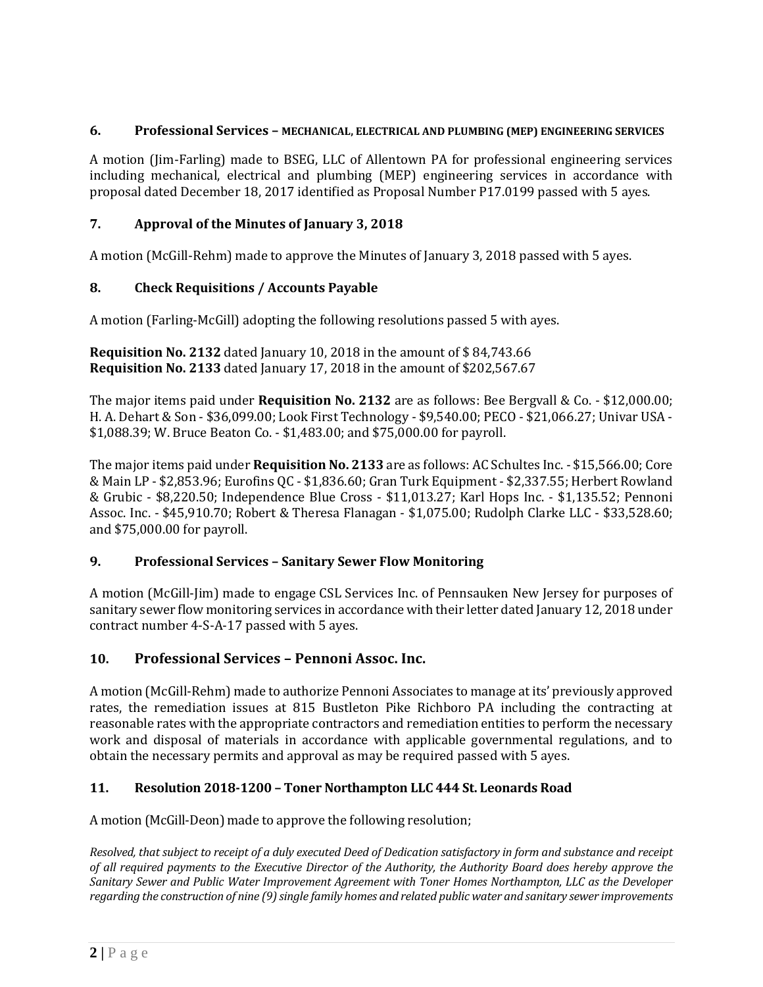#### **6. Professional Services – MECHANICAL, ELECTRICAL AND PLUMBING (MEP) ENGINEERING SERVICES**

A motion (Jim-Farling) made to BSEG, LLC of Allentown PA for professional engineering services including mechanical, electrical and plumbing (MEP) engineering services in accordance with proposal dated December 18, 2017 identified as Proposal Number P17.0199 passed with 5 ayes.

# **7. Approval of the Minutes of January 3, 2018**

A motion (McGill-Rehm) made to approve the Minutes of January 3, 2018 passed with 5 ayes.

## **8. Check Requisitions / Accounts Payable**

A motion (Farling-McGill) adopting the following resolutions passed 5 with ayes.

**Requisition No. 2132** dated January 10, 2018 in the amount of \$ 84,743.66 **Requisition No. 2133** dated January 17, 2018 in the amount of \$202,567.67

The major items paid under **Requisition No. 2132** are as follows: Bee Bergvall & Co. - \$12,000.00; H. A. Dehart & Son - \$36,099.00; Look First Technology - \$9,540.00; PECO - \$21,066.27; Univar USA - \$1,088.39; W. Bruce Beaton Co. - \$1,483.00; and \$75,000.00 for payroll.

The major items paid under **Requisition No. 2133** are as follows: AC Schultes Inc. - \$15,566.00; Core & Main LP - \$2,853.96; Eurofins QC - \$1,836.60; Gran Turk Equipment - \$2,337.55; Herbert Rowland & Grubic - \$8,220.50; Independence Blue Cross - \$11,013.27; Karl Hops Inc. - \$1,135.52; Pennoni Assoc. Inc. - \$45,910.70; Robert & Theresa Flanagan - \$1,075.00; Rudolph Clarke LLC - \$33,528.60; and \$75,000.00 for payroll.

#### **9. Professional Services – Sanitary Sewer Flow Monitoring**

A motion (McGill-Jim) made to engage CSL Services Inc. of Pennsauken New Jersey for purposes of sanitary sewer flow monitoring services in accordance with their letter dated January 12, 2018 under contract number 4-S-A-17 passed with 5 ayes.

## **10. Professional Services – Pennoni Assoc. Inc.**

A motion (McGill-Rehm) made to authorize Pennoni Associates to manage at its' previously approved rates, the remediation issues at 815 Bustleton Pike Richboro PA including the contracting at reasonable rates with the appropriate contractors and remediation entities to perform the necessary work and disposal of materials in accordance with applicable governmental regulations, and to obtain the necessary permits and approval as may be required passed with 5 ayes.

## **11. Resolution 2018-1200 – Toner Northampton LLC 444 St. Leonards Road**

A motion (McGill-Deon) made to approve the following resolution;

*Resolved, that subject to receipt of a duly executed Deed of Dedication satisfactory in form and substance and receipt of all required payments to the Executive Director of the Authority, the Authority Board does hereby approve the Sanitary Sewer and Public Water Improvement Agreement with Toner Homes Northampton, LLC as the Developer regarding the construction of nine (9) single family homes and related public water and sanitary sewer improvements*